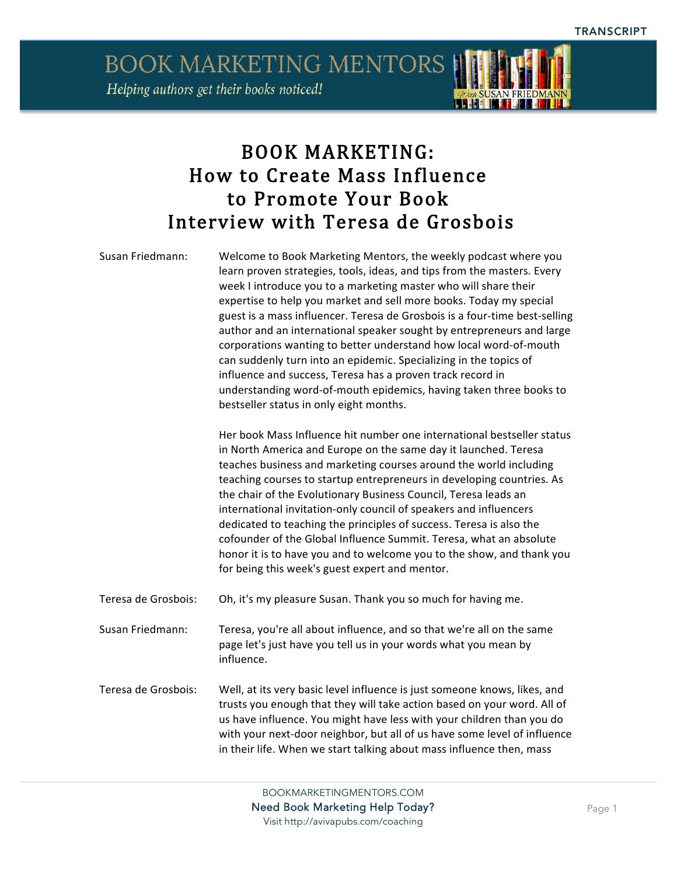

## BOOK MARKETING: How to Create Mass Influence to Promote Your Book Interview with Teresa de Grosbois

| Susan Friedmann:    | Welcome to Book Marketing Mentors, the weekly podcast where you<br>learn proven strategies, tools, ideas, and tips from the masters. Every<br>week I introduce you to a marketing master who will share their<br>expertise to help you market and sell more books. Today my special<br>guest is a mass influencer. Teresa de Grosbois is a four-time best-selling<br>author and an international speaker sought by entrepreneurs and large<br>corporations wanting to better understand how local word-of-mouth<br>can suddenly turn into an epidemic. Specializing in the topics of<br>influence and success, Teresa has a proven track record in<br>understanding word-of-mouth epidemics, having taken three books to<br>bestseller status in only eight months. |
|---------------------|---------------------------------------------------------------------------------------------------------------------------------------------------------------------------------------------------------------------------------------------------------------------------------------------------------------------------------------------------------------------------------------------------------------------------------------------------------------------------------------------------------------------------------------------------------------------------------------------------------------------------------------------------------------------------------------------------------------------------------------------------------------------|
|                     | Her book Mass Influence hit number one international bestseller status<br>in North America and Europe on the same day it launched. Teresa<br>teaches business and marketing courses around the world including<br>teaching courses to startup entrepreneurs in developing countries. As<br>the chair of the Evolutionary Business Council, Teresa leads an<br>international invitation-only council of speakers and influencers<br>dedicated to teaching the principles of success. Teresa is also the<br>cofounder of the Global Influence Summit. Teresa, what an absolute<br>honor it is to have you and to welcome you to the show, and thank you<br>for being this week's guest expert and mentor.                                                             |
| Teresa de Grosbois: | Oh, it's my pleasure Susan. Thank you so much for having me.                                                                                                                                                                                                                                                                                                                                                                                                                                                                                                                                                                                                                                                                                                        |
| Susan Friedmann:    | Teresa, you're all about influence, and so that we're all on the same<br>page let's just have you tell us in your words what you mean by<br>influence.                                                                                                                                                                                                                                                                                                                                                                                                                                                                                                                                                                                                              |
| Teresa de Grosbois: | Well, at its very basic level influence is just someone knows, likes, and<br>trusts you enough that they will take action based on your word. All of<br>us have influence. You might have less with your children than you do<br>with your next-door neighbor, but all of us have some level of influence<br>in their life. When we start talking about mass influence then, mass                                                                                                                                                                                                                                                                                                                                                                                   |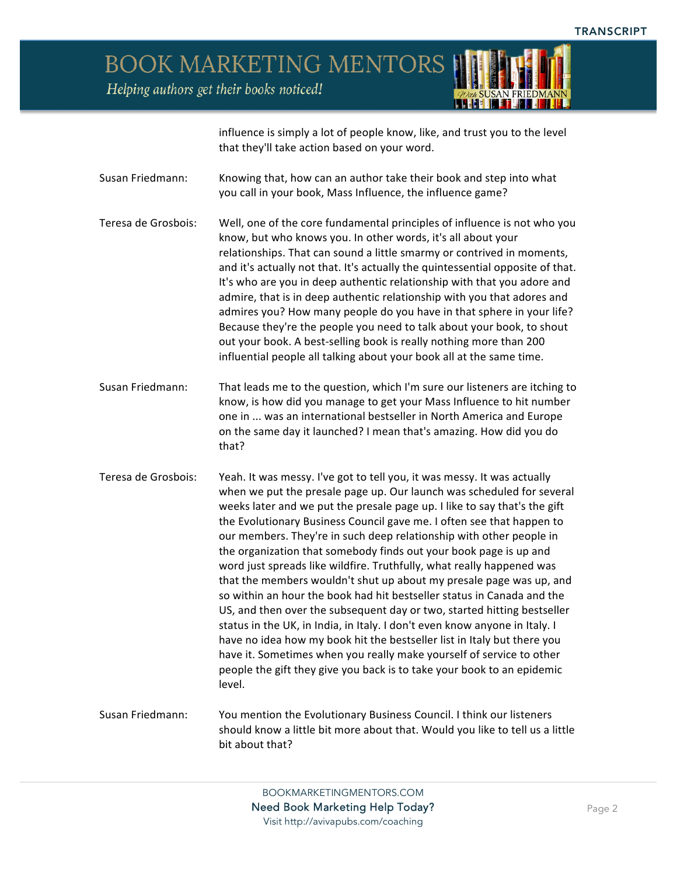

influence is simply a lot of people know, like, and trust you to the level that they'll take action based on your word.

- Susan Friedmann: Knowing that, how can an author take their book and step into what you call in your book, Mass Influence, the influence game?
- Teresa de Grosbois: Well, one of the core fundamental principles of influence is not who you know, but who knows you. In other words, it's all about your relationships. That can sound a little smarmy or contrived in moments, and it's actually not that. It's actually the quintessential opposite of that. It's who are you in deep authentic relationship with that you adore and admire, that is in deep authentic relationship with you that adores and admires you? How many people do you have in that sphere in your life? Because they're the people you need to talk about your book, to shout out your book. A best-selling book is really nothing more than 200 influential people all talking about your book all at the same time.
- Susan Friedmann: That leads me to the question, which I'm sure our listeners are itching to know, is how did you manage to get your Mass Influence to hit number one in ... was an international bestseller in North America and Europe on the same day it launched? I mean that's amazing. How did you do that?
- Teresa de Grosbois: Yeah. It was messy. I've got to tell you, it was messy. It was actually when we put the presale page up. Our launch was scheduled for several weeks later and we put the presale page up. I like to say that's the gift the Evolutionary Business Council gave me. I often see that happen to our members. They're in such deep relationship with other people in the organization that somebody finds out your book page is up and word just spreads like wildfire. Truthfully, what really happened was that the members wouldn't shut up about my presale page was up, and so within an hour the book had hit bestseller status in Canada and the US, and then over the subsequent day or two, started hitting bestseller status in the UK, in India, in Italy. I don't even know anyone in Italy. I have no idea how my book hit the bestseller list in Italy but there you have it. Sometimes when you really make yourself of service to other people the gift they give you back is to take your book to an epidemic level.
- Susan Friedmann: You mention the Evolutionary Business Council. I think our listeners should know a little bit more about that. Would you like to tell us a little bit about that?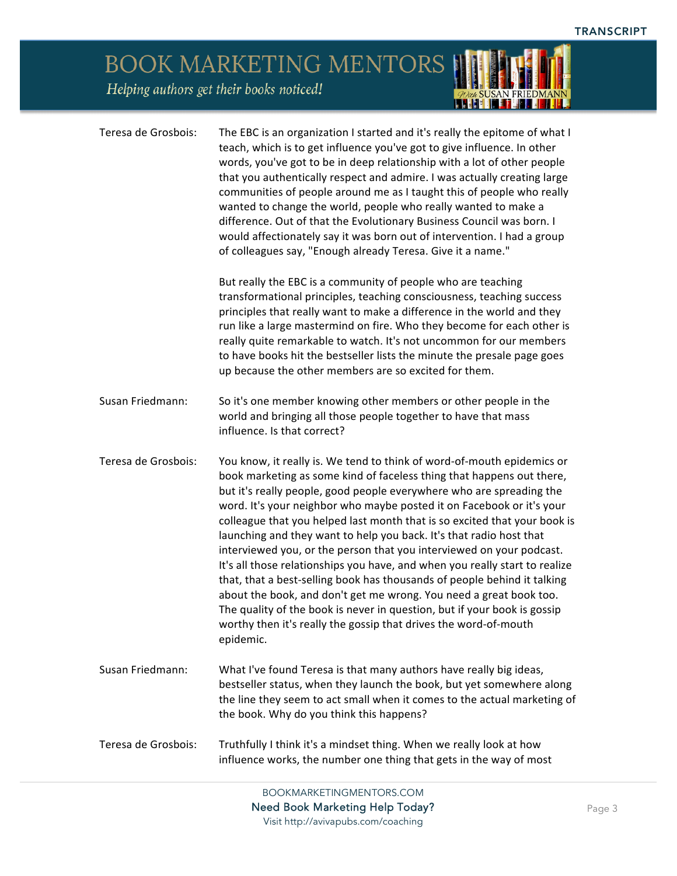## BOOK MARKETING MENTORS Helping authors get their books noticed! *TOWA SUSAN FRIEDMANN*

| Teresa de Grosbois: | The EBC is an organization I started and it's really the epitome of what I<br>teach, which is to get influence you've got to give influence. In other<br>words, you've got to be in deep relationship with a lot of other people<br>that you authentically respect and admire. I was actually creating large<br>communities of people around me as I taught this of people who really<br>wanted to change the world, people who really wanted to make a<br>difference. Out of that the Evolutionary Business Council was born. I<br>would affectionately say it was born out of intervention. I had a group<br>of colleagues say, "Enough already Teresa. Give it a name."                                                                                                                                                                                                                                                 |
|---------------------|----------------------------------------------------------------------------------------------------------------------------------------------------------------------------------------------------------------------------------------------------------------------------------------------------------------------------------------------------------------------------------------------------------------------------------------------------------------------------------------------------------------------------------------------------------------------------------------------------------------------------------------------------------------------------------------------------------------------------------------------------------------------------------------------------------------------------------------------------------------------------------------------------------------------------|
|                     | But really the EBC is a community of people who are teaching<br>transformational principles, teaching consciousness, teaching success<br>principles that really want to make a difference in the world and they<br>run like a large mastermind on fire. Who they become for each other is<br>really quite remarkable to watch. It's not uncommon for our members<br>to have books hit the bestseller lists the minute the presale page goes<br>up because the other members are so excited for them.                                                                                                                                                                                                                                                                                                                                                                                                                       |
| Susan Friedmann:    | So it's one member knowing other members or other people in the<br>world and bringing all those people together to have that mass<br>influence. Is that correct?                                                                                                                                                                                                                                                                                                                                                                                                                                                                                                                                                                                                                                                                                                                                                           |
| Teresa de Grosbois: | You know, it really is. We tend to think of word-of-mouth epidemics or<br>book marketing as some kind of faceless thing that happens out there,<br>but it's really people, good people everywhere who are spreading the<br>word. It's your neighbor who maybe posted it on Facebook or it's your<br>colleague that you helped last month that is so excited that your book is<br>launching and they want to help you back. It's that radio host that<br>interviewed you, or the person that you interviewed on your podcast.<br>It's all those relationships you have, and when you really start to realize<br>that, that a best-selling book has thousands of people behind it talking<br>about the book, and don't get me wrong. You need a great book too.<br>The quality of the book is never in question, but if your book is gossip<br>worthy then it's really the gossip that drives the word-of-mouth<br>epidemic. |
| Susan Friedmann:    | What I've found Teresa is that many authors have really big ideas,<br>bestseller status, when they launch the book, but yet somewhere along<br>the line they seem to act small when it comes to the actual marketing of<br>the book. Why do you think this happens?                                                                                                                                                                                                                                                                                                                                                                                                                                                                                                                                                                                                                                                        |
| Teresa de Grosbois: | Truthfully I think it's a mindset thing. When we really look at how<br>influence works, the number one thing that gets in the way of most                                                                                                                                                                                                                                                                                                                                                                                                                                                                                                                                                                                                                                                                                                                                                                                  |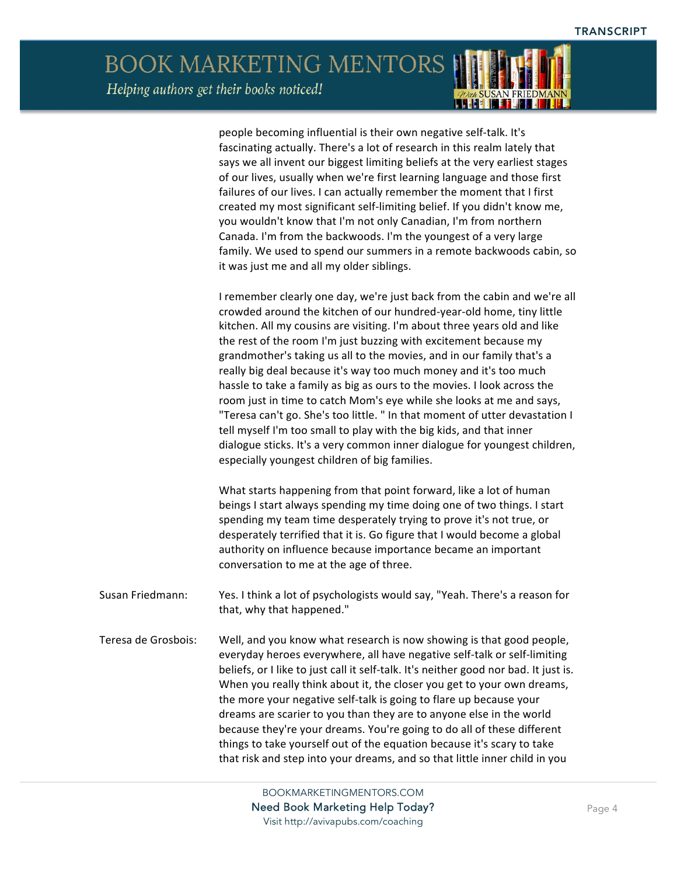people becoming influential is their own negative self-talk. It's fascinating actually. There's a lot of research in this realm lately that says we all invent our biggest limiting beliefs at the very earliest stages of our lives, usually when we're first learning language and those first failures of our lives. I can actually remember the moment that I first created my most significant self-limiting belief. If you didn't know me, you wouldn't know that I'm not only Canadian, I'm from northern Canada. I'm from the backwoods. I'm the youngest of a very large family. We used to spend our summers in a remote backwoods cabin, so it was just me and all my older siblings.

I remember clearly one day, we're just back from the cabin and we're all crowded around the kitchen of our hundred-year-old home, tiny little kitchen. All my cousins are visiting. I'm about three years old and like the rest of the room I'm just buzzing with excitement because my grandmother's taking us all to the movies, and in our family that's a really big deal because it's way too much money and it's too much hassle to take a family as big as ours to the movies. I look across the room just in time to catch Mom's eye while she looks at me and says, "Teresa can't go. She's too little. " In that moment of utter devastation I tell myself I'm too small to play with the big kids, and that inner dialogue sticks. It's a very common inner dialogue for youngest children, especially youngest children of big families.

What starts happening from that point forward, like a lot of human beings I start always spending my time doing one of two things. I start spending my team time desperately trying to prove it's not true, or desperately terrified that it is. Go figure that I would become a global authority on influence because importance became an important conversation to me at the age of three.

Susan Friedmann: Yes. I think a lot of psychologists would say, "Yeah. There's a reason for that, why that happened."

Teresa de Grosbois: Well, and you know what research is now showing is that good people, everyday heroes everywhere, all have negative self-talk or self-limiting beliefs, or I like to just call it self-talk. It's neither good nor bad. It just is. When you really think about it, the closer you get to your own dreams, the more your negative self-talk is going to flare up because your dreams are scarier to you than they are to anyone else in the world because they're your dreams. You're going to do all of these different things to take yourself out of the equation because it's scary to take that risk and step into your dreams, and so that little inner child in you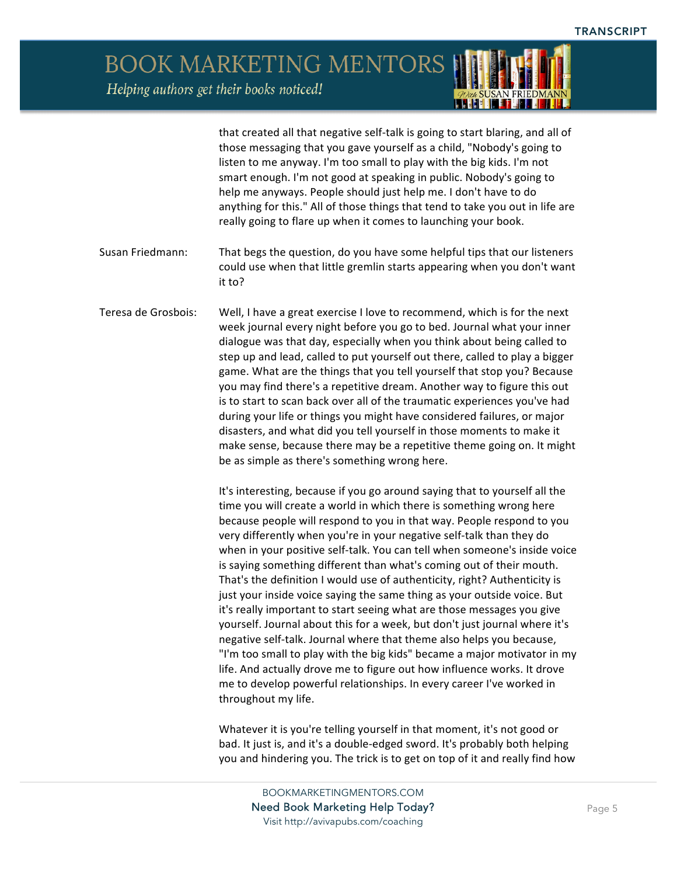> that created all that negative self-talk is going to start blaring, and all of those messaging that you gave yourself as a child, "Nobody's going to listen to me anyway. I'm too small to play with the big kids. I'm not smart enough. I'm not good at speaking in public. Nobody's going to help me anyways. People should just help me. I don't have to do anything for this." All of those things that tend to take you out in life are really going to flare up when it comes to launching your book.

- Susan Friedmann: That begs the question, do you have some helpful tips that our listeners could use when that little gremlin starts appearing when you don't want it to?
- Teresa de Grosbois: Well, I have a great exercise I love to recommend, which is for the next week journal every night before you go to bed. Journal what your inner dialogue was that day, especially when you think about being called to step up and lead, called to put yourself out there, called to play a bigger game. What are the things that you tell yourself that stop you? Because you may find there's a repetitive dream. Another way to figure this out is to start to scan back over all of the traumatic experiences you've had during your life or things you might have considered failures, or major disasters, and what did you tell yourself in those moments to make it make sense, because there may be a repetitive theme going on. It might be as simple as there's something wrong here.

It's interesting, because if you go around saying that to yourself all the time you will create a world in which there is something wrong here because people will respond to you in that way. People respond to you very differently when you're in your negative self-talk than they do when in your positive self-talk. You can tell when someone's inside voice is saying something different than what's coming out of their mouth. That's the definition I would use of authenticity, right? Authenticity is just your inside voice saying the same thing as your outside voice. But it's really important to start seeing what are those messages you give yourself. Journal about this for a week, but don't just journal where it's negative self-talk. Journal where that theme also helps you because, "I'm too small to play with the big kids" became a major motivator in my life. And actually drove me to figure out how influence works. It drove me to develop powerful relationships. In every career I've worked in throughout my life.

Whatever it is you're telling yourself in that moment, it's not good or bad. It just is, and it's a double-edged sword. It's probably both helping you and hindering you. The trick is to get on top of it and really find how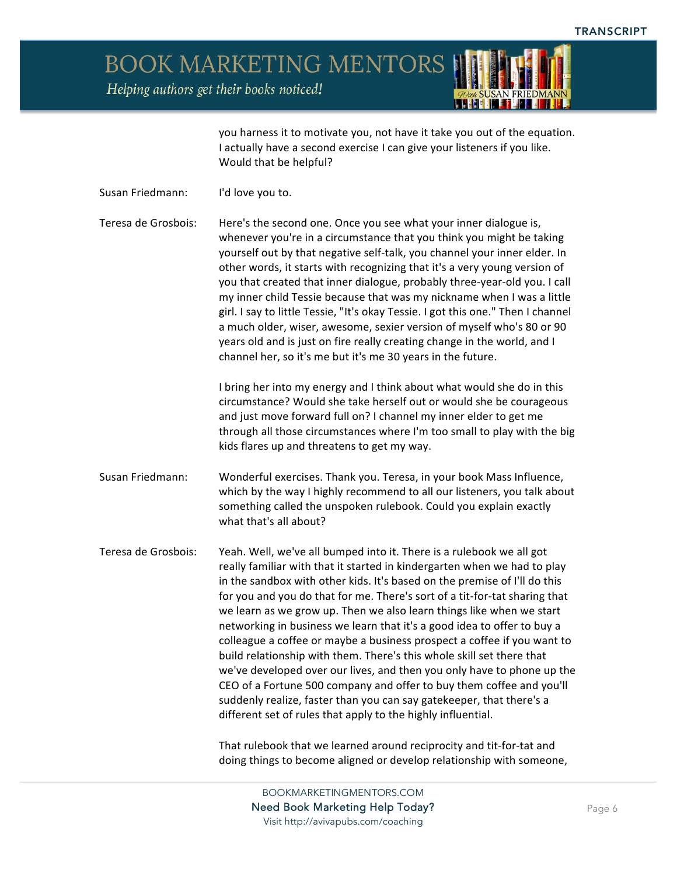**BOOK MARKETING MENTORS** 

Helping authors get their books noticed!



you harness it to motivate you, not have it take you out of the equation. I actually have a second exercise I can give your listeners if you like. Would that be helpful?

Susan Friedmann: I'd love you to.

Teresa de Grosbois: Here's the second one. Once you see what your inner dialogue is, whenever you're in a circumstance that you think you might be taking yourself out by that negative self-talk, you channel your inner elder. In other words, it starts with recognizing that it's a very young version of you that created that inner dialogue, probably three-year-old you. I call my inner child Tessie because that was my nickname when I was a little girl. I say to little Tessie, "It's okay Tessie. I got this one." Then I channel a much older, wiser, awesome, sexier version of myself who's 80 or 90 years old and is just on fire really creating change in the world, and I channel her, so it's me but it's me 30 years in the future.

> I bring her into my energy and I think about what would she do in this circumstance? Would she take herself out or would she be courageous and just move forward full on? I channel my inner elder to get me through all those circumstances where I'm too small to play with the big kids flares up and threatens to get my way.

- Susan Friedmann: Wonderful exercises. Thank you. Teresa, in your book Mass Influence, which by the way I highly recommend to all our listeners, you talk about something called the unspoken rulebook. Could you explain exactly what that's all about?
- Teresa de Grosbois: Yeah. Well, we've all bumped into it. There is a rulebook we all got really familiar with that it started in kindergarten when we had to play in the sandbox with other kids. It's based on the premise of I'll do this for you and you do that for me. There's sort of a tit-for-tat sharing that we learn as we grow up. Then we also learn things like when we start networking in business we learn that it's a good idea to offer to buy a colleague a coffee or maybe a business prospect a coffee if you want to build relationship with them. There's this whole skill set there that we've developed over our lives, and then you only have to phone up the CEO of a Fortune 500 company and offer to buy them coffee and you'll suddenly realize, faster than you can say gatekeeper, that there's a different set of rules that apply to the highly influential.

That rulebook that we learned around reciprocity and tit-for-tat and doing things to become aligned or develop relationship with someone,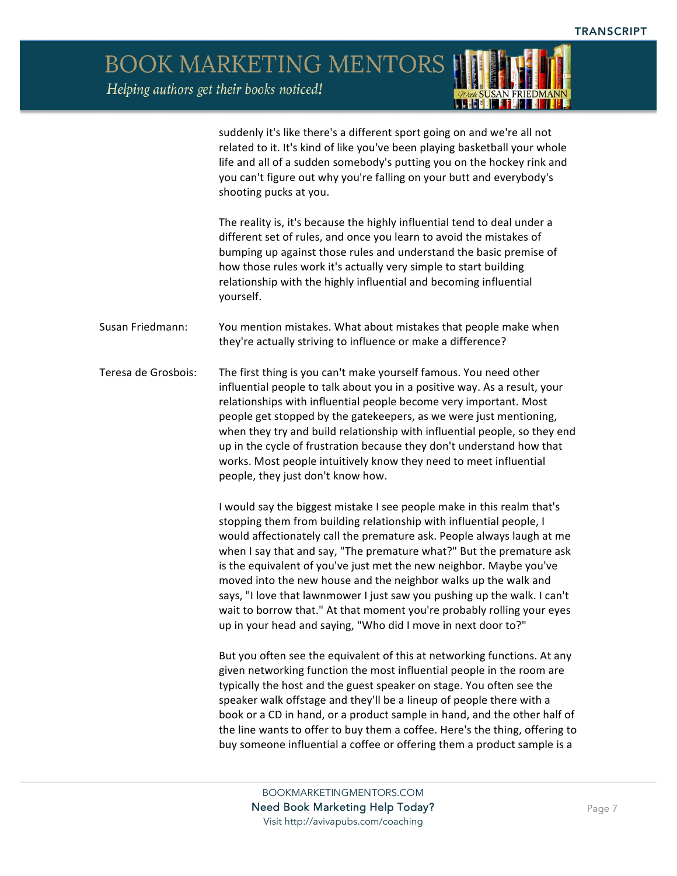

suddenly it's like there's a different sport going on and we're all not related to it. It's kind of like you've been playing basketball your whole life and all of a sudden somebody's putting you on the hockey rink and you can't figure out why you're falling on your butt and everybody's shooting pucks at you.

The reality is, it's because the highly influential tend to deal under a different set of rules, and once you learn to avoid the mistakes of bumping up against those rules and understand the basic premise of how those rules work it's actually very simple to start building relationship with the highly influential and becoming influential yourself.

- Susan Friedmann: You mention mistakes. What about mistakes that people make when they're actually striving to influence or make a difference?
- Teresa de Grosbois: The first thing is you can't make yourself famous. You need other influential people to talk about you in a positive way. As a result, your relationships with influential people become very important. Most people get stopped by the gatekeepers, as we were just mentioning, when they try and build relationship with influential people, so they end up in the cycle of frustration because they don't understand how that works. Most people intuitively know they need to meet influential people, they just don't know how.

I would say the biggest mistake I see people make in this realm that's stopping them from building relationship with influential people, I would affectionately call the premature ask. People always laugh at me when I say that and say, "The premature what?" But the premature ask is the equivalent of you've just met the new neighbor. Maybe you've moved into the new house and the neighbor walks up the walk and says, "I love that lawnmower I just saw you pushing up the walk. I can't wait to borrow that." At that moment you're probably rolling your eyes up in your head and saying, "Who did I move in next door to?"

But you often see the equivalent of this at networking functions. At any given networking function the most influential people in the room are typically the host and the guest speaker on stage. You often see the speaker walk offstage and they'll be a lineup of people there with a book or a CD in hand, or a product sample in hand, and the other half of the line wants to offer to buy them a coffee. Here's the thing, offering to buy someone influential a coffee or offering them a product sample is a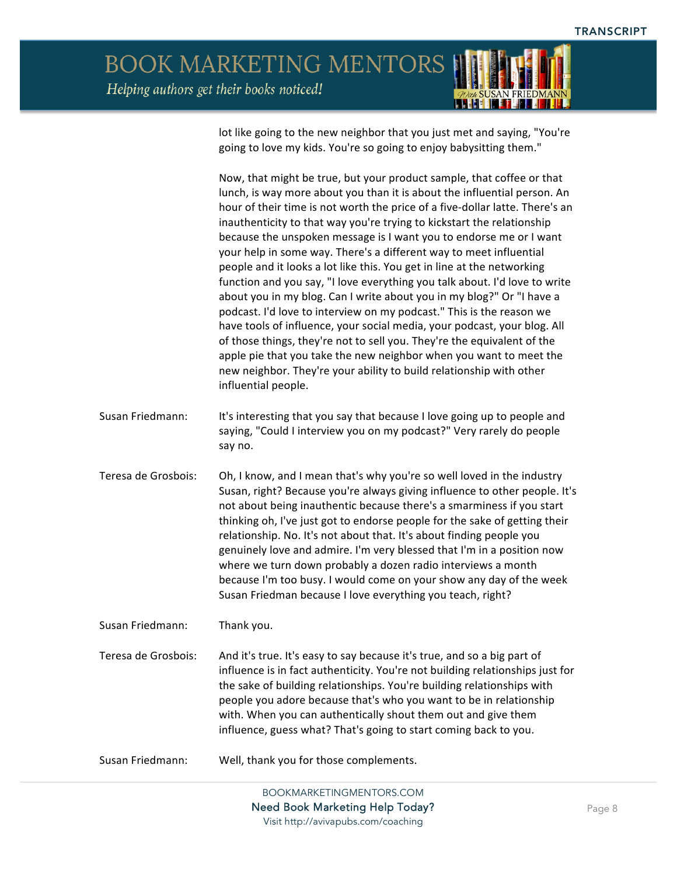

lot like going to the new neighbor that you just met and saying, "You're going to love my kids. You're so going to enjoy babysitting them."

Now, that might be true, but your product sample, that coffee or that lunch, is way more about you than it is about the influential person. An hour of their time is not worth the price of a five-dollar latte. There's an inauthenticity to that way you're trying to kickstart the relationship because the unspoken message is I want you to endorse me or I want your help in some way. There's a different way to meet influential people and it looks a lot like this. You get in line at the networking function and you say, "I love everything you talk about. I'd love to write about you in my blog. Can I write about you in my blog?" Or "I have a podcast. I'd love to interview on my podcast." This is the reason we have tools of influence, your social media, your podcast, your blog. All of those things, they're not to sell you. They're the equivalent of the apple pie that you take the new neighbor when you want to meet the new neighbor. They're your ability to build relationship with other influential people.

- Susan Friedmann: It's interesting that you say that because I love going up to people and saying, "Could I interview you on my podcast?" Very rarely do people say no.
- Teresa de Grosbois: Oh, I know, and I mean that's why you're so well loved in the industry Susan, right? Because you're always giving influence to other people. It's not about being inauthentic because there's a smarminess if you start thinking oh, I've just got to endorse people for the sake of getting their relationship. No. It's not about that. It's about finding people you genuinely love and admire. I'm very blessed that I'm in a position now where we turn down probably a dozen radio interviews a month because I'm too busy. I would come on your show any day of the week Susan Friedman because I love everything you teach, right?

Susan Friedmann: Thank you.

Teresa de Grosbois: And it's true. It's easy to say because it's true, and so a big part of influence is in fact authenticity. You're not building relationships just for the sake of building relationships. You're building relationships with people you adore because that's who you want to be in relationship with. When you can authentically shout them out and give them influence, guess what? That's going to start coming back to you.

Susan Friedmann: Well, thank you for those complements.